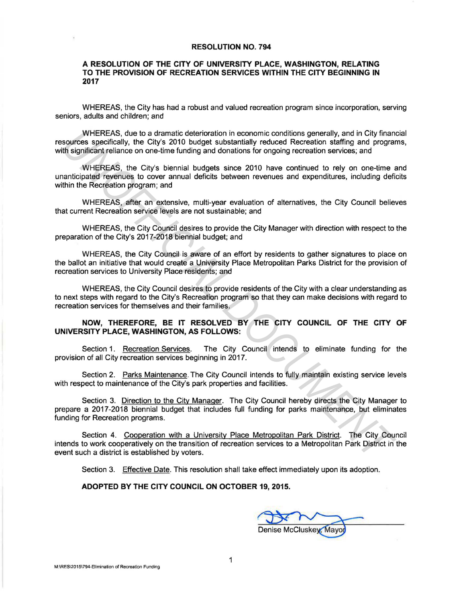## RESOLUTION NO. 794

## A RESOLUTION OF THE CITY OF UNIVERSITY PLACE, WASHINGTON, RELATING TO THE PROVISION OF RECREATION SERVICES WITHIN THE CITY BEGINNING IN 2017

WHEREAS, the City has had a robust and valued recreation program since incorporation, serving seniors, adults and children; and

WHEREAS, due to a dramatic deterioration in economic conditions generally, and in City financial resources specifically, the City's 2010 budget substantially reduced Recreation staffing and programs, with significant reliance on one-time funding and donations for ongoing recreation services; and

WHEREAS, the City's biennial budgets since 2010 have continued to rely on one-time and unanticipated revenues to cover annual deficits between revenues and expenditures, including deficits within the Recreation program; and

WHEREAS, after an extensive, multi-year evaluation of alternatives, the City Council believes that current Recreation service levels are not sustainable; and

WHEREAS, the City Council desires to provide the City Manager with direction with respect to the preparation of the City's 2017-2018 biennial budget; and

WHEREAS, the City Council is aware of an effort by residents to gather signatures to place on the ballot an initiative that would create a University Place Metropolitan Parks District for the provision of recreation services to University Place residents; and

WHEREAS, the City Council desires to provide residents of the City with a clear understanding as to next steps with regard to the City's Recreation program so that they can make decisions with regard to recreation services for themselves and their families.

## NOW, THEREFORE, BE IT RESOLVED BY THE CITY COUNCIL OF THE CITY OF UNIVERSITY PLACE, WASHINGTON, AS FOLLOWS:

Section 1. Recreation Services. The City Council intends to eliminate funding for the provision of all City recreation services beginning in 2017.

Section 2. Parks Maintenance. The City Council intends to fully maintain existing service levels with respect to maintenance of the City's park properties and facilities.

Section 3. Direction to the City Manager. The City Council hereby directs the City Manager to prepare a 2017-2018 biennial budget that includes full funding for parks maintenance, but eliminates funding for Recreation programs. WHEREAS, the to a dramatic deterioration in economic conditions generally, and in City finance deteriors appendiated the city s 2010 budget substantially reduced Recreation saffing and programs in surface, the City's 2010

Section 4. Cooperation with a University Place Metropolitan Park District. The City Council intends to work cooperatively on the transition of recreation services to a Metropolitan Park District in the event such a district is established by voters.

Section 3. Effective Date. This resolution shall take effect immediately upon its adoption.

## ADOPTED BY THE CITY COUNCIL ON OCTOBER 19, 2015.

19, 2015.<br>Denise McCluskey, Mayor